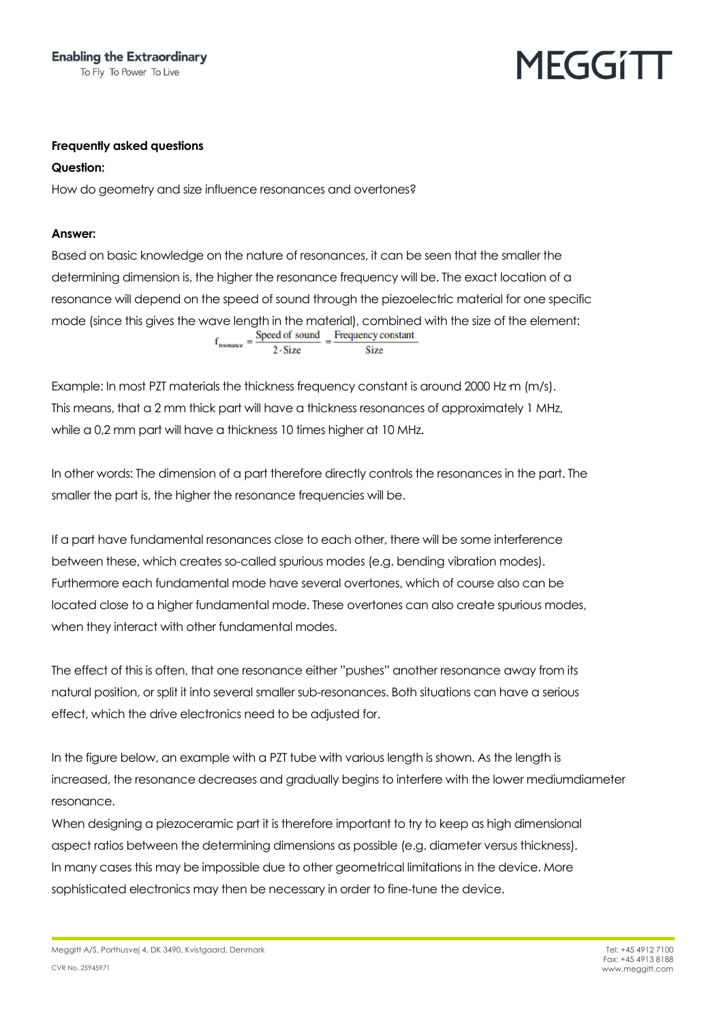# MEGGIT

## **Frequently asked questions**

#### **Question:**

How do geometry and size influence resonances and overtones?

## **Answer:**

Based on basic knowledge on the nature of resonances, it can be seen that the smaller the determining dimension is, the higher the resonance frequency will be. The exact location of a resonance will depend on the speed of sound through the piezoelectric material for one specific mode (since this gives the wave length in the material), combined with the size of the element:<br> $f_{\text{resonance}} = \frac{\text{Speed of sound}}{2.7} = \frac{\text{Frequency constant}}{2.7}$  $2 \cdot Size$ **Size** 

Example: In most PZT materials the thickness frequency constant is around 2000 Hz m (m/s). This means, that a 2 mm thick part will have a thickness resonances of approximately 1 MHz, while a 0,2 mm part will have a thickness 10 times higher at 10 MHz.

In other words: The dimension of a part therefore directly controls the resonances in the part. The smaller the part is, the higher the resonance frequencies will be.

If a part have fundamental resonances close to each other, there will be some interference between these, which creates so-called spurious modes (e.g. bending vibration modes). Furthermore each fundamental mode have several overtones, which of course also can be located close to a higher fundamental mode. These overtones can also create spurious modes, when they interact with other fundamental modes.

The effect of this is often, that one resonance either "pushes" another resonance away from its natural position, or split it into several smaller sub-resonances. Both situations can have a serious effect, which the drive electronics need to be adjusted for.

In the figure below, an example with a PZT tube with various length is shown. As the length is increased, the resonance decreases and gradually begins to interfere with the lower mediumdiameter resonance.

When designing a piezoceramic part it is therefore important to try to keep as high dimensional aspect ratios between the determining dimensions as possible (e.g. diameter versus thickness). In many cases this may be impossible due to other geometrical limitations in the device. More sophisticated electronics may then be necessary in order to fine-tune the device.